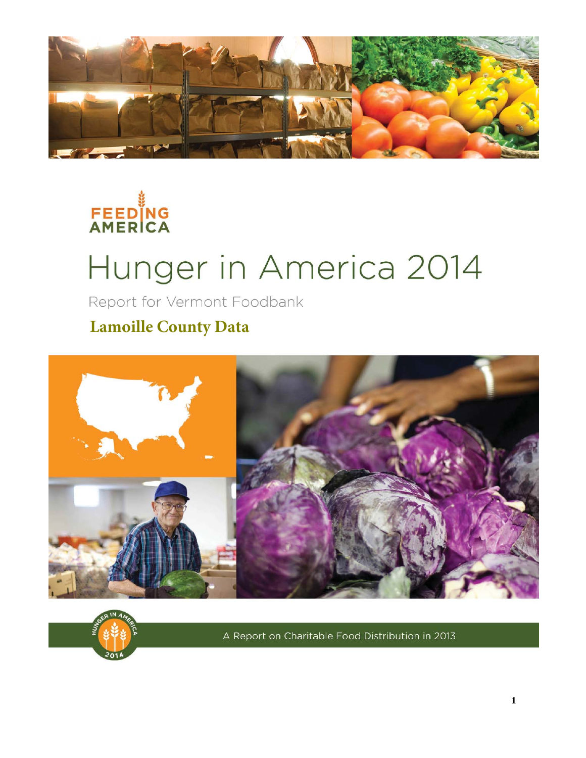



# Hunger in America 2014

Report for Vermont Foodbank

**Lamoille County Data**





A Report on Charitable Food Distribution in 2013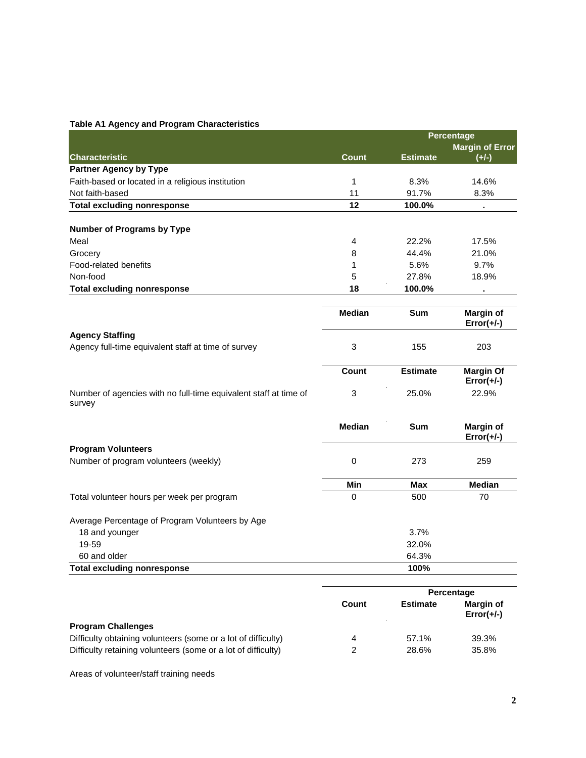|                                                   |       | <b>Percentage</b> |                                   |
|---------------------------------------------------|-------|-------------------|-----------------------------------|
| <b>Characteristic</b>                             | Count | <b>Estimate</b>   | <b>Margin of Error</b><br>$(+/-)$ |
| <b>Partner Agency by Type</b>                     |       |                   |                                   |
| Faith-based or located in a religious institution | и     | 8.3%              | 14.6%                             |
| Not faith-based                                   | 11    | 91.7%             | 8.3%                              |
| Total excluding nonresponse                       | 12    | 100.0%            |                                   |
| <b>Number of Programs by Type</b>                 |       |                   |                                   |
| Meal                                              | 4     | 22.2%             | 17.5%                             |
| Grocery                                           | 8     | 44.4%             | 21.0%                             |
| Food-related benefits                             |       | 5.6%              | 9.7%                              |
| Non-food                                          | 5     | 27.8%             | 18.9%                             |
| <b>Total excluding nonresponse</b>                | 18    | 100.0%            |                                   |

|                                                                            | <b>Median</b> | <b>Sum</b>      | <b>Margin of</b><br>$Error(+/-)$ |
|----------------------------------------------------------------------------|---------------|-----------------|----------------------------------|
| <b>Agency Staffing</b>                                                     |               |                 |                                  |
| Agency full-time equivalent staff at time of survey                        | 3             | 155             | 203                              |
|                                                                            | Count         | <b>Estimate</b> | <b>Margin Of</b><br>$Error(+/-)$ |
| Number of agencies with no full-time equivalent staff at time of<br>survey | 3             | 25.0%           | 22.9%                            |

|                                            | <b>Median</b> | <b>Sum</b> | Margin of<br>$Error(+/-)$ |
|--------------------------------------------|---------------|------------|---------------------------|
| <b>Program Volunteers</b>                  |               |            |                           |
| Number of program volunteers (weekly)      |               | 273        | 259                       |
|                                            | Min           | Max        | <b>Median</b>             |
| Total volunteer hours per week per program | 0             | 500        | 70                        |

| Average Percentage of Program Volunteers by Age |       |
|-------------------------------------------------|-------|
| 18 and younger                                  | 3.7%  |
| 19-59                                           | 32.0% |
| 60 and older                                    | 64.3% |
| <b>Total excluding nonresponse</b>              | 100%  |
|                                                 |       |

|                                                               |       | Percentage      |                                  |
|---------------------------------------------------------------|-------|-----------------|----------------------------------|
|                                                               | Count | <b>Estimate</b> | <b>Margin of</b><br>$Error(+/-)$ |
| <b>Program Challenges</b>                                     |       |                 |                                  |
| Difficulty obtaining volunteers (some or a lot of difficulty) | 4     | 57.1%           | 39.3%                            |
| Difficulty retaining volunteers (some or a lot of difficulty) |       | 28.6%           | 35.8%                            |

Areas of volunteer/staff training needs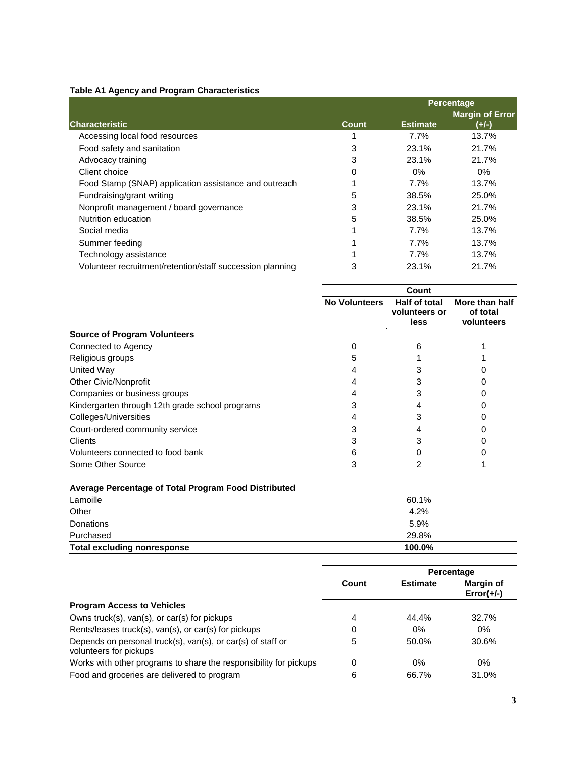|                                                           |       |                 | <b>Percentage</b>                 |
|-----------------------------------------------------------|-------|-----------------|-----------------------------------|
| <b>Characteristic</b>                                     | Count | <b>Estimate</b> | <b>Margin of Error</b><br>$(+/-)$ |
| Accessing local food resources                            |       | 7.7%            | 13.7%                             |
| Food safety and sanitation                                | 3     | 23.1%           | 21.7%                             |
| Advocacy training                                         | 3     | 23.1%           | 21.7%                             |
| Client choice                                             | 0     | $0\%$           | 0%                                |
| Food Stamp (SNAP) application assistance and outreach     |       | 7.7%            | 13.7%                             |
| Fundraising/grant writing                                 | 5     | 38.5%           | 25.0%                             |
| Nonprofit management / board governance                   | 3     | 23.1%           | 21.7%                             |
| Nutrition education                                       | 5     | 38.5%           | 25.0%                             |
| Social media                                              |       | 7.7%            | 13.7%                             |
| Summer feeding                                            |       | 7.7%            | 13.7%                             |
| Technology assistance                                     |       | 7.7%            | 13.7%                             |
| Volunteer recruitment/retention/staff succession planning | 3     | 23.1%           | 21.7%                             |

|                                                      | Count                |                                        |                                          |
|------------------------------------------------------|----------------------|----------------------------------------|------------------------------------------|
|                                                      | <b>No Volunteers</b> | Half of total<br>volunteers or<br>less | More than half<br>of total<br>volunteers |
| <b>Source of Program Volunteers</b>                  |                      |                                        |                                          |
| Connected to Agency                                  | 0                    | 6                                      |                                          |
| Religious groups                                     |                      |                                        |                                          |
| United Way                                           |                      |                                        |                                          |
| <b>Other Civic/Nonprofit</b>                         |                      | 3                                      |                                          |
| Companies or business groups                         |                      | 3                                      |                                          |
| Kindergarten through 12th grade school programs      |                      | 4                                      |                                          |
| Colleges/Universities                                |                      | 3                                      |                                          |
| Court-ordered community service                      |                      |                                        |                                          |
| Clients                                              |                      | 3                                      |                                          |
| Volunteers connected to food bank                    | 6                    |                                        |                                          |
| Some Other Source                                    |                      | 2                                      |                                          |
| Average Percentage of Total Program Food Distributed |                      |                                        |                                          |

| 60.1%  |
|--------|
| 4.2%   |
| 5.9%   |
| 29.8%  |
| 100.0% |
|        |

|                                                                                       |       | Percentage      |                           |
|---------------------------------------------------------------------------------------|-------|-----------------|---------------------------|
|                                                                                       | Count | <b>Estimate</b> | Margin of<br>$Error(+/-)$ |
| <b>Program Access to Vehicles</b>                                                     |       |                 |                           |
| Owns truck(s), van(s), or car(s) for pickups                                          | 4     | 44.4%           | 32.7%                     |
| Rents/leases truck(s), van(s), or car(s) for pickups                                  | 0     | $0\%$           | $0\%$                     |
| Depends on personal truck(s), van(s), or car(s) of staff or<br>volunteers for pickups | 5     | 50.0%           | 30.6%                     |
| Works with other programs to share the responsibility for pickups                     | 0     | $0\%$           | $0\%$                     |
| Food and groceries are delivered to program                                           | 6     | 66.7%           | 31.0%                     |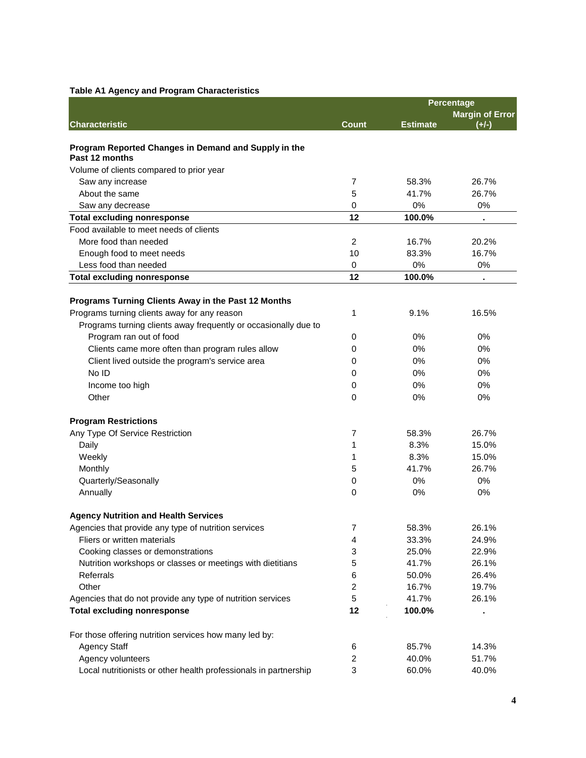|                                                                        | Percentage              |                 |                        |
|------------------------------------------------------------------------|-------------------------|-----------------|------------------------|
|                                                                        |                         |                 | <b>Margin of Error</b> |
| <b>Characteristic</b>                                                  | <b>Count</b>            | <b>Estimate</b> | $(+/-)$                |
|                                                                        |                         |                 |                        |
| Program Reported Changes in Demand and Supply in the<br>Past 12 months |                         |                 |                        |
| Volume of clients compared to prior year                               |                         |                 |                        |
| Saw any increase                                                       | $\overline{7}$          | 58.3%           | 26.7%                  |
| About the same                                                         | 5                       | 41.7%           | 26.7%                  |
| Saw any decrease                                                       | 0                       | 0%              | 0%                     |
| <b>Total excluding nonresponse</b>                                     | 12                      | 100.0%          |                        |
| Food available to meet needs of clients                                |                         |                 |                        |
| More food than needed                                                  | 2                       | 16.7%           | 20.2%                  |
| Enough food to meet needs                                              | 10                      | 83.3%           | 16.7%                  |
| Less food than needed                                                  | 0                       | 0%              | 0%                     |
| <b>Total excluding nonresponse</b>                                     | 12                      | 100.0%          |                        |
|                                                                        |                         |                 |                        |
| Programs Turning Clients Away in the Past 12 Months                    |                         |                 |                        |
| Programs turning clients away for any reason                           | 1                       | 9.1%            | 16.5%                  |
| Programs turning clients away frequently or occasionally due to        |                         |                 |                        |
| Program ran out of food                                                | 0                       | 0%              | 0%                     |
| Clients came more often than program rules allow                       | 0                       | 0%              | 0%                     |
| Client lived outside the program's service area                        | 0                       | 0%              | 0%                     |
| No ID                                                                  | 0                       | 0%              | 0%                     |
| Income too high                                                        | 0                       | 0%              | 0%                     |
| Other                                                                  | 0                       | 0%              | 0%                     |
|                                                                        |                         |                 |                        |
| <b>Program Restrictions</b>                                            |                         |                 |                        |
| Any Type Of Service Restriction                                        | 7                       | 58.3%           | 26.7%                  |
| Daily                                                                  | 1                       | 8.3%            | 15.0%                  |
| Weekly                                                                 | 1                       | 8.3%            | 15.0%                  |
| Monthly                                                                | 5                       | 41.7%           | 26.7%                  |
| Quarterly/Seasonally                                                   | 0                       | 0%              | 0%                     |
| Annually                                                               | 0                       | 0%              | 0%                     |
|                                                                        |                         |                 |                        |
| <b>Agency Nutrition and Health Services</b>                            |                         |                 |                        |
| Agencies that provide any type of nutrition services                   | 7                       | 58.3%           | 26.1%                  |
| Fliers or written materials                                            | 4                       | 33.3%           | 24.9%                  |
| Cooking classes or demonstrations                                      | 3                       | 25.0%           | 22.9%                  |
| Nutrition workshops or classes or meetings with dietitians             | 5                       | 41.7%           | 26.1%                  |
| Referrals                                                              | 6                       | 50.0%           | 26.4%                  |
| Other                                                                  | $\overline{c}$          | 16.7%           | 19.7%                  |
| Agencies that do not provide any type of nutrition services            | 5                       | 41.7%           | 26.1%                  |
| <b>Total excluding nonresponse</b>                                     | 12                      | 100.0%          |                        |
|                                                                        |                         |                 |                        |
| For those offering nutrition services how many led by:                 |                         |                 |                        |
| <b>Agency Staff</b>                                                    | 6                       | 85.7%           | 14.3%                  |
| Agency volunteers                                                      | $\overline{\mathbf{c}}$ | 40.0%           | 51.7%                  |
| Local nutritionists or other health professionals in partnership       | 3                       | 60.0%           | 40.0%                  |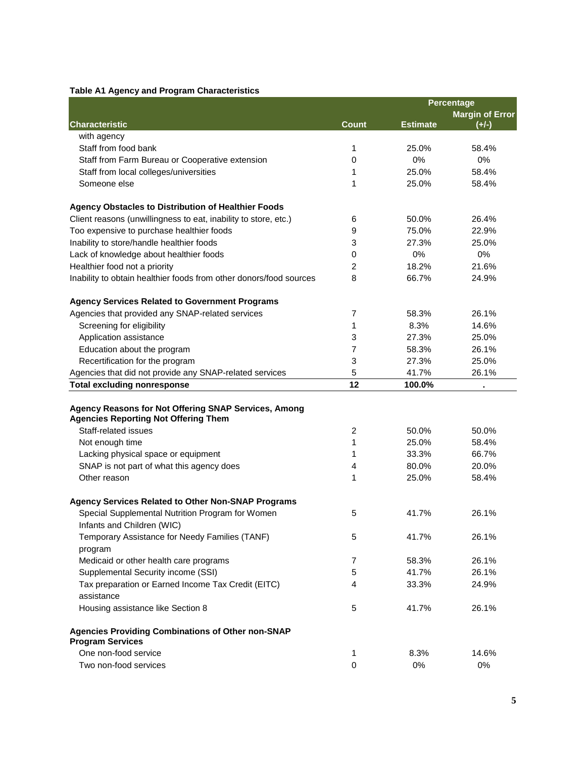|                                                                                                     |                | Percentage      |                        |
|-----------------------------------------------------------------------------------------------------|----------------|-----------------|------------------------|
|                                                                                                     |                |                 | <b>Margin of Error</b> |
| <b>Characteristic</b>                                                                               | <b>Count</b>   | <b>Estimate</b> | $(+/-)$                |
| with agency                                                                                         |                |                 |                        |
| Staff from food bank                                                                                | 1              | 25.0%           | 58.4%                  |
| Staff from Farm Bureau or Cooperative extension                                                     | 0              | 0%              | 0%                     |
| Staff from local colleges/universities                                                              | 1              | 25.0%           | 58.4%                  |
| Someone else                                                                                        | 1              | 25.0%           | 58.4%                  |
| <b>Agency Obstacles to Distribution of Healthier Foods</b>                                          |                |                 |                        |
| Client reasons (unwillingness to eat, inability to store, etc.)                                     | 6              | 50.0%           | 26.4%                  |
| Too expensive to purchase healthier foods                                                           | 9              | 75.0%           | 22.9%                  |
| Inability to store/handle healthier foods                                                           | 3              | 27.3%           | 25.0%                  |
| Lack of knowledge about healthier foods                                                             | 0              | 0%              | 0%                     |
| Healthier food not a priority                                                                       | 2              | 18.2%           | 21.6%                  |
| Inability to obtain healthier foods from other donors/food sources                                  | 8              | 66.7%           | 24.9%                  |
| <b>Agency Services Related to Government Programs</b>                                               |                |                 |                        |
| Agencies that provided any SNAP-related services                                                    | $\overline{7}$ | 58.3%           | 26.1%                  |
| Screening for eligibility                                                                           | 1              | 8.3%            | 14.6%                  |
| Application assistance                                                                              | 3              | 27.3%           | 25.0%                  |
| Education about the program                                                                         | 7              | 58.3%           | 26.1%                  |
| Recertification for the program                                                                     | 3              | 27.3%           | 25.0%                  |
| Agencies that did not provide any SNAP-related services                                             | 5              | 41.7%           | 26.1%                  |
| <b>Total excluding nonresponse</b>                                                                  | 12             | 100.0%          |                        |
| Agency Reasons for Not Offering SNAP Services, Among<br><b>Agencies Reporting Not Offering Them</b> |                |                 |                        |
| Staff-related issues                                                                                | 2              | 50.0%           | 50.0%                  |
| Not enough time                                                                                     | 1              | 25.0%           | 58.4%                  |
| Lacking physical space or equipment                                                                 | 1              | 33.3%           | 66.7%                  |
| SNAP is not part of what this agency does                                                           | 4              | 80.0%           | 20.0%                  |
| Other reason                                                                                        | 1              | 25.0%           | 58.4%                  |
|                                                                                                     |                |                 |                        |
| <b>Agency Services Related to Other Non-SNAP Programs</b>                                           |                |                 |                        |
| Special Supplemental Nutrition Program for Women<br>Infants and Children (WIC)                      | 5              | 41.7%           | 26.1%                  |
| Temporary Assistance for Needy Families (TANF)                                                      | 5              | 41.7%           | 26.1%                  |
| program                                                                                             |                |                 |                        |
| Medicaid or other health care programs                                                              | 7              | 58.3%           | 26.1%                  |
| Supplemental Security income (SSI)                                                                  | 5              | 41.7%           | 26.1%                  |
| Tax preparation or Earned Income Tax Credit (EITC)<br>assistance                                    | 4              | 33.3%           | 24.9%                  |
| Housing assistance like Section 8                                                                   | 5              | 41.7%           | 26.1%                  |
| <b>Agencies Providing Combinations of Other non-SNAP</b><br><b>Program Services</b>                 |                |                 |                        |
| One non-food service                                                                                | 1              | 8.3%            | 14.6%                  |
| Two non-food services                                                                               | 0              | 0%              | 0%                     |
|                                                                                                     |                |                 |                        |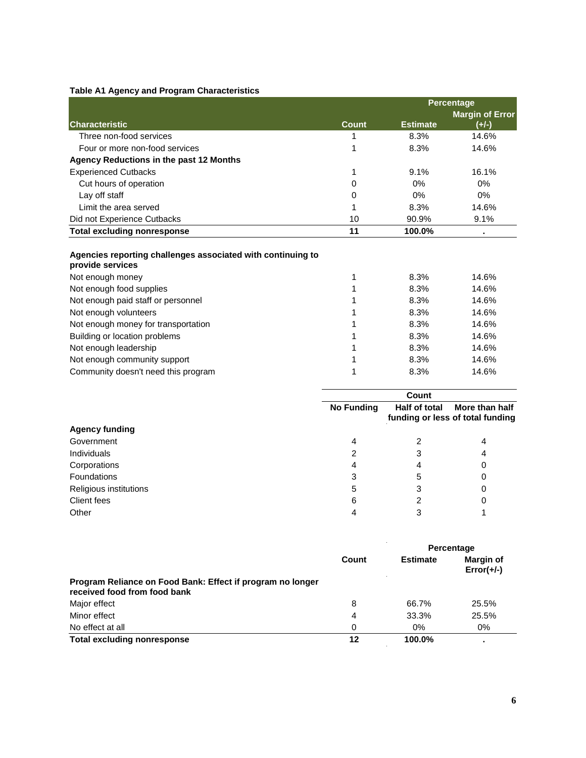|                                                                                 | <b>Percentage</b> |                 |                        |
|---------------------------------------------------------------------------------|-------------------|-----------------|------------------------|
|                                                                                 |                   |                 | <b>Margin of Error</b> |
| <b>Characteristic</b>                                                           | <b>Count</b>      | <b>Estimate</b> | $(+/-)$                |
| Three non-food services                                                         |                   | 8.3%            | 14.6%                  |
| Four or more non-food services                                                  |                   | 8.3%            | 14.6%                  |
| Agency Reductions in the past 12 Months                                         |                   |                 |                        |
| <b>Experienced Cutbacks</b>                                                     | 1                 | 9.1%            | 16.1%                  |
| Cut hours of operation                                                          | 0                 | 0%              | 0%                     |
| Lay off staff                                                                   | 0                 | 0%              | 0%                     |
| Limit the area served                                                           |                   | 8.3%            | 14.6%                  |
| Did not Experience Cutbacks                                                     | 10                | 90.9%           | 9.1%                   |
| <b>Total excluding nonresponse</b>                                              | 11                | 100.0%          |                        |
| Agencies reporting challenges associated with continuing to<br>provide services |                   |                 |                        |
| Not enough money                                                                |                   | 8.3%            | 14.6%                  |
| Not enough food supplies                                                        |                   | 8.3%            | 14.6%                  |
| Not enough paid staff or personnel                                              |                   | 8.3%            | 14.6%                  |
| Not enough volunteers                                                           |                   | 8.3%            | 14.6%                  |
| Not enough money for transportation                                             |                   | 8.3%            | 14.6%                  |
| Building or location problems                                                   |                   | 8.3%            | 14.6%                  |
| Not enough leadership                                                           |                   | 8.3%            | 14.6%                  |
| Not enough community support                                                    |                   | 8.3%            | 14.6%                  |
| Community doesn't need this program                                             |                   | 8.3%            | 14.6%                  |

| Count             |               |                                                    |
|-------------------|---------------|----------------------------------------------------|
| <b>No Funding</b> | Half of total | More than half<br>funding or less of total funding |
|                   |               |                                                    |
| 4                 |               | 4                                                  |
|                   | 3             | 4                                                  |
|                   |               | 0                                                  |
|                   | 5             |                                                    |
| 5                 | 3             |                                                    |
| 6                 | ົ             |                                                    |
|                   |               |                                                    |
|                   |               |                                                    |

|                                                                                            |       | Percentage      |                                  |  |
|--------------------------------------------------------------------------------------------|-------|-----------------|----------------------------------|--|
|                                                                                            | Count | <b>Estimate</b> | <b>Margin of</b><br>$Error(+/-)$ |  |
| Program Reliance on Food Bank: Effect if program no longer<br>received food from food bank |       |                 |                                  |  |
| Major effect                                                                               | 8     | 66.7%           | 25.5%                            |  |
| Minor effect                                                                               | 4     | 33.3%           | 25.5%                            |  |
| No effect at all                                                                           | 0     | $0\%$           | 0%                               |  |
| Total excluding nonresponse                                                                | 12    | 100.0%          |                                  |  |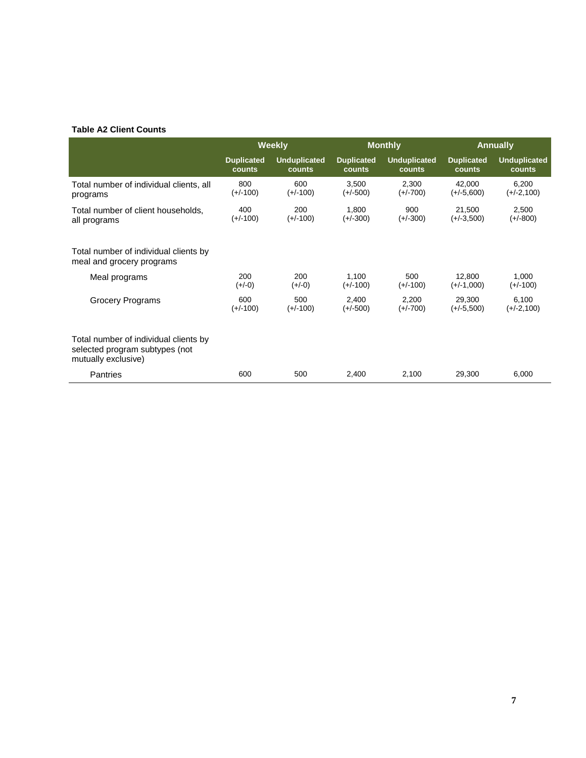#### **Table A2 Client Counts**

|                                                                                                | <b>Weekly</b>     |                     | <b>Monthly</b>    |                     |                   | <b>Annually</b>     |
|------------------------------------------------------------------------------------------------|-------------------|---------------------|-------------------|---------------------|-------------------|---------------------|
|                                                                                                | <b>Duplicated</b> | <b>Unduplicated</b> | <b>Duplicated</b> | <b>Unduplicated</b> | <b>Duplicated</b> | <b>Unduplicated</b> |
|                                                                                                | counts            | counts              | counts            | counts              | counts            | counts              |
| Total number of individual clients, all                                                        | 800               | 600                 | 3.500             | 2,300               | 42,000            | 6,200               |
| programs                                                                                       | $(+/-100)$        | $(+/-100)$          | $(+/-500)$        | $(+/-700)$          | $(+/-5,600)$      | $(+/-2,100)$        |
| Total number of client households,                                                             | 400               | 200                 | 1,800             | 900                 | 21,500            | 2,500               |
| all programs                                                                                   | $(+/-100)$        | $(+/-100)$          | $(+/-300)$        | $(+/-300)$          | $(+/-3,500)$      | $(+/-800)$          |
| Total number of individual clients by<br>meal and grocery programs                             |                   |                     |                   |                     |                   |                     |
| Meal programs                                                                                  | 200               | 200                 | 1,100             | 500                 | 12,800            | 1,000               |
|                                                                                                | $(+/-0)$          | $(+/-0)$            | $(+/-100)$        | $(+/-100)$          | $(+/-1,000)$      | $(+/-100)$          |
| <b>Grocery Programs</b>                                                                        | 600               | 500                 | 2,400             | 2,200               | 29,300            | 6,100               |
|                                                                                                | $(+/-100)$        | $(+/-100)$          | $(+/-500)$        | $(+/-700)$          | $(+/-5,500)$      | $(+/-2,100)$        |
| Total number of individual clients by<br>selected program subtypes (not<br>mutually exclusive) |                   |                     |                   |                     |                   |                     |
| Pantries                                                                                       | 600               | 500                 | 2,400             | 2,100               | 29,300            | 6,000               |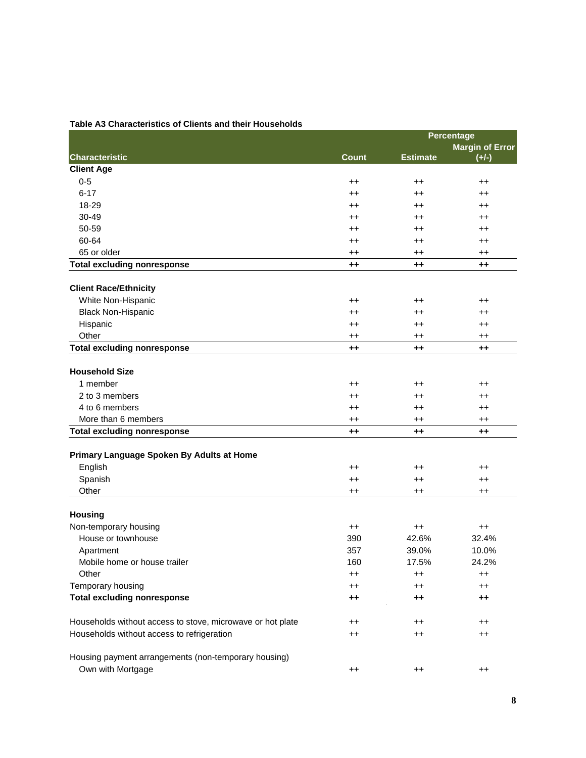|                                                            |                 |                 | <b>Percentage</b>      |
|------------------------------------------------------------|-----------------|-----------------|------------------------|
|                                                            |                 |                 | <b>Margin of Error</b> |
| <b>Characteristic</b>                                      | <b>Count</b>    | <b>Estimate</b> | $(+/-)$                |
| <b>Client Age</b>                                          |                 |                 |                        |
| $0 - 5$                                                    | $^{\mathrm{+}}$ | $^{\mathrm{+}}$ | $^{++}$                |
| $6 - 17$                                                   | $^{++}$         | $^{++}$         | $^{\mathrm{+}}$        |
| 18-29                                                      | $^{\mathrm{+}}$ | $^{\mathrm{+}}$ | $^{\mathrm{+}}$        |
| 30-49                                                      | $^{\mathrm{+}}$ | $^{\mathrm{+}}$ | $^{\mathrm{+}}$        |
| 50-59                                                      | $^{++}$         | $^{\mathrm{+}}$ | $^{++}$                |
| 60-64                                                      | $^{++}$         | $^{\mathrm{+}}$ | $^{\mathrm{+}}$        |
| 65 or older                                                | $^{++}$         | $^{\mathrm{+}}$ | $^{++}$                |
| <b>Total excluding nonresponse</b>                         | $++$            | $^{\tiny{++}}$  | $++$                   |
| <b>Client Race/Ethnicity</b>                               |                 |                 |                        |
| White Non-Hispanic                                         | $^{\mathrm{+}}$ | $^{\mathrm{+}}$ | $^{\mathrm{+}}$        |
| <b>Black Non-Hispanic</b>                                  | $^{\mathrm{+}}$ | $^{\mathrm{+}}$ | $^{\mathrm{+}}$        |
| Hispanic                                                   | $^{\mathrm{+}}$ | $^{\mathrm{+}}$ | $^{\mathrm{+}}$        |
| Other                                                      | $^{\mathrm{+}}$ | $^{\mathrm{+}}$ | $^{\mathrm{+}}$        |
| <b>Total excluding nonresponse</b>                         | $++$            | $++$            | $++$                   |
| <b>Household Size</b>                                      |                 |                 |                        |
| 1 member                                                   | $^{\mathrm{+}}$ | $^{\mathrm{+}}$ | $^{\mathrm{+}}$        |
| 2 to 3 members                                             | $^{++}$         | $^{\mathrm{+}}$ | $^{\mathrm{+}}$        |
| 4 to 6 members                                             | $^{\mathrm{+}}$ | $^{\mathrm{+}}$ | $^{\mathrm{+}}$        |
| More than 6 members                                        | $^{\mathrm{+}}$ | $^{\mathrm{+}}$ | $^{\mathrm{+}}$        |
| <b>Total excluding nonresponse</b>                         | $++$            | $^{++}$         | $++$                   |
|                                                            |                 |                 |                        |
| Primary Language Spoken By Adults at Home                  |                 |                 |                        |
| English                                                    | $^{\mathrm{+}}$ | $^{\mathrm{+}}$ | $^{\mathrm{+}}$        |
| Spanish                                                    | $^{++}$         | $^{\mathrm{+}}$ | $^{++}$                |
| Other                                                      | $^{++}$         | $^{\mathrm{+}}$ | $^{++}$                |
|                                                            |                 |                 |                        |
| <b>Housing</b>                                             |                 |                 |                        |
| Non-temporary housing                                      | $^{\mathrm{+}}$ | $^{\mathrm{+}}$ | $^{++}$                |
| House or townhouse                                         | 390             | 42.6%           | 32.4%                  |
| Apartment                                                  | 357             | 39.0%           | 10.0%                  |
| Mobile home or house trailer                               | 160             | 17.5%           | 24.2%                  |
| Other                                                      | $^{\mathrm{+}}$ | $^{\mathrm{+}}$ | $^{\mathrm{+}}$        |
| Temporary housing                                          | $^{\mathrm{+}}$ | $^{\mathrm{+}}$ | $^{\mathrm{+}}$        |
| <b>Total excluding nonresponse</b>                         | $++$            | $^{++}$         | $++$                   |
| Households without access to stove, microwave or hot plate | $^{\mathrm{+}}$ | $^{\mathrm{+}}$ | $^{\mathrm{++}}$       |
| Households without access to refrigeration                 | $^{\mathrm{+}}$ | $^{\mathrm{+}}$ | $^{++}$                |
|                                                            |                 |                 |                        |
| Housing payment arrangements (non-temporary housing)       |                 |                 |                        |
| Own with Mortgage                                          | $^{++}$         | $^{\mathrm{+}}$ | $^{\mathrm{++}}$       |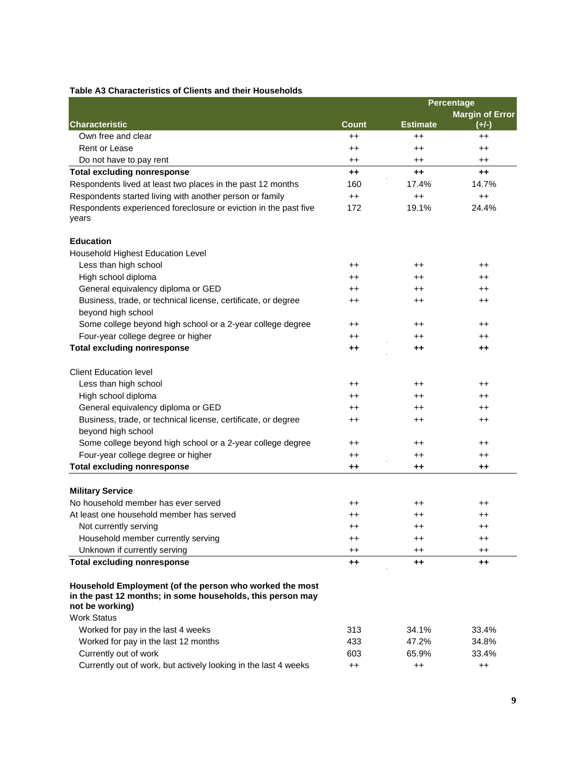|                                                                                     |                  | Percentage       |                        |
|-------------------------------------------------------------------------------------|------------------|------------------|------------------------|
|                                                                                     |                  |                  | <b>Margin of Error</b> |
| <b>Characteristic</b>                                                               | <b>Count</b>     | <b>Estimate</b>  | $(+/-)$                |
| Own free and clear                                                                  | $^{++}$          | $++$             | $^{++}$                |
| Rent or Lease                                                                       | $^{\mathrm{+}}$  | $^{\mathrm{+}}$  | $^{\mathrm{++}}$       |
| Do not have to pay rent                                                             | ++               | $^{\mathrm{+}}$  | $^{\mathrm{+}}$        |
| <b>Total excluding nonresponse</b>                                                  | $++$             | $++$             | $++$                   |
| Respondents lived at least two places in the past 12 months                         | 160              | 17.4%            | 14.7%                  |
| Respondents started living with another person or family                            | $^{++}$          | $^{++}$          | $^{++}$                |
| Respondents experienced foreclosure or eviction in the past five<br>years           | 172              | 19.1%            | 24.4%                  |
| <b>Education</b>                                                                    |                  |                  |                        |
| Household Highest Education Level                                                   |                  |                  |                        |
| Less than high school                                                               | $^{\mathrm{+}}$  | $^{\mathrm{+}}$  | $^{\mathrm{++}}$       |
| High school diploma                                                                 | $^{\mathrm{+}}$  | $^{\mathrm{+}}$  | $^{\mathrm{++}}$       |
| General equivalency diploma or GED                                                  | $^{\mathrm{+}}$  | ++               | $^{\mathrm{++}}$       |
| Business, trade, or technical license, certificate, or degree<br>beyond high school | $^{\mathrm{+}}$  | $^{\mathrm{++}}$ | $^{\mathrm{+}}$        |
| Some college beyond high school or a 2-year college degree                          | ++               | $^{\mathrm{+}}$  | $^{\mathrm{+}}$        |
| Four-year college degree or higher                                                  | ++               | $^{\mathrm{+}}$  | $^{\mathrm{+}}$        |
| <b>Total excluding nonresponse</b>                                                  | ++               | ++               | $^{\tiny{++}}$         |
| <b>Client Education level</b>                                                       |                  |                  |                        |
| Less than high school                                                               | $^{\mathrm{++}}$ | ++               | $^{\mathrm{++}}$       |
| High school diploma                                                                 | ++               | $^{\mathrm{+}}$  | $^{\mathrm{+}}$        |
| General equivalency diploma or GED                                                  | $^{\mathrm{+}}$  | $^{\mathrm{+}}$  | $^{\mathrm{++}}$       |
| Business, trade, or technical license, certificate, or degree<br>beyond high school | $^{\mathrm{+}}$  | $^{\mathrm{+}}$  | $^{\mathrm{++}}$       |
| Some college beyond high school or a 2-year college degree                          | $^{\mathrm{+}}$  | $^{\mathrm{+}}$  | $^{\mathrm{+}}$        |
| Four-year college degree or higher                                                  | $^{\mathrm{+}}$  | $^{\mathrm{+}}$  | $^{\mathrm{+}}$        |
| <b>Total excluding nonresponse</b>                                                  | ++               | ++               | $^{\mathrm{+}}$        |
| <b>Military Service</b>                                                             |                  |                  |                        |
| No household member has ever served                                                 | $^{\mathrm{+}}$  | $^{\mathrm{+}}$  | $^{\mathrm{++}}$       |
| At least one household member has served                                            | ++               | ++               | $^{\mathrm{+}}$        |
| Not currently serving                                                               | $^{\mathrm{+}}$  |                  |                        |
| Household member currently serving                                                  | $^{\mathrm{+}}$  | $^{\mathrm{+}}$  | $^{\mathrm{++}}$       |
| Unknown if currently serving                                                        | $^{\mathrm{+}}$  | $^{\mathrm{+}}$  | $^{\mathrm{+}}$        |
| <b>Total excluding nonresponse</b>                                                  | $++$             | $+ +$            | $++$                   |

**not be working)** Work Status Worked for pay in the last 4 weeks 313 34.1% 33.4% Worked for pay in the last 12 months 433 47.2% 34.8% Currently out of work 603 65.9% 33.4% Currently out of work, but actively looking in the last 4 weeks ++ ++ ++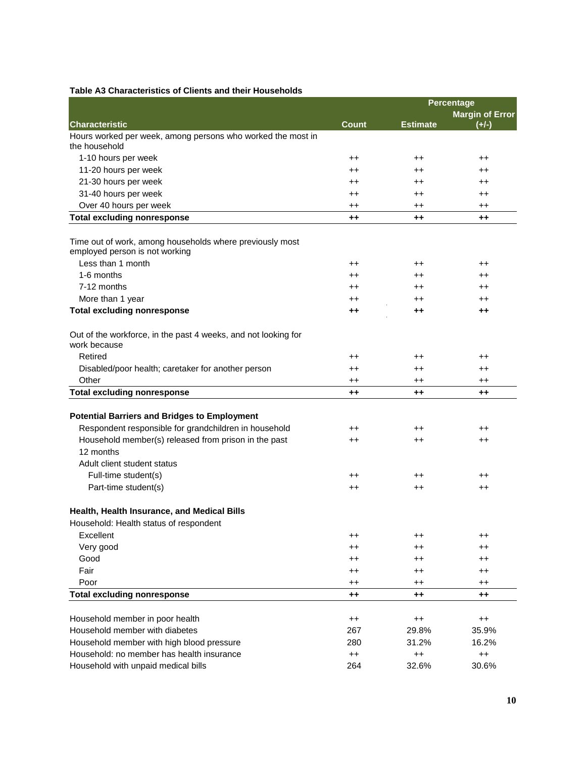|                                                                                            | Percentage       |                          |                        |
|--------------------------------------------------------------------------------------------|------------------|--------------------------|------------------------|
|                                                                                            |                  |                          | <b>Margin of Error</b> |
| <b>Characteristic</b>                                                                      | <b>Count</b>     | <b>Estimate</b>          | $(+/-)$                |
| Hours worked per week, among persons who worked the most in<br>the household               |                  |                          |                        |
| 1-10 hours per week                                                                        | $^{\mathrm{+}}$  | $^{\mathrm{+}}$          | $^{\mathrm{+}}$        |
| 11-20 hours per week                                                                       | $^{\mathrm{+}}$  | $^{\mathrm{+}}$          | $^{\mathrm{+}}$        |
| 21-30 hours per week                                                                       | $^{\mathrm{+}}$  | $^{\mathrm{+}}$          | $^{\mathrm{+}}$        |
| 31-40 hours per week                                                                       | $^{\mathrm{+}}$  | $^{\mathrm{+}}$          | $^{\mathrm{+}}$        |
| Over 40 hours per week                                                                     | $^{\mathrm{++}}$ | $^{\mathrm{+}}$          | $^{\mathrm{+}}$        |
| <b>Total excluding nonresponse</b>                                                         | $^{++}$          | $^{\mathrm{+}}$          | $++$                   |
| Time out of work, among households where previously most<br>employed person is not working |                  |                          |                        |
| Less than 1 month                                                                          | $^{\mathrm{+}}$  | $^{\mathrm{+}}$          | $^{\mathrm{+}}$        |
| 1-6 months                                                                                 | $^{\mathrm{+}}$  | $^{\mathrm{+}}$          | $^{\mathrm{+}}$        |
| 7-12 months                                                                                | $^{\mathrm{+}}$  | $^{\mathrm{+}}$          | $^{\mathrm{+}}$        |
| More than 1 year                                                                           | $^{\mathrm{+}}$  | $^{\mathrm{+}}$          | $^{\mathrm{+}}$        |
| <b>Total excluding nonresponse</b>                                                         | $++$             | $^{\mathrm{+}}$          | $++$                   |
| Out of the workforce, in the past 4 weeks, and not looking for<br>work because             |                  |                          |                        |
| Retired                                                                                    | $^{\mathrm{+}}$  | $^{\mathrm{+}}$          | $^{\mathrm{+}}$        |
| Disabled/poor health; caretaker for another person                                         | $^{\mathrm{+}}$  | $^{\mathrm{+}}$          | $^{\mathrm{+}}$        |
| Other                                                                                      | $^{\mathrm{+}}$  | $^{\mathrm{+}}$          | $^{\mathrm{+}}$        |
| <b>Total excluding nonresponse</b>                                                         | $^{\mathrm{+}}$  | ++                       | $^{\tiny{++}}$         |
| <b>Potential Barriers and Bridges to Employment</b>                                        |                  |                          |                        |
| Respondent responsible for grandchildren in household                                      | $^{\mathrm{+}}$  | $^{\mathrm{+}}$          | $^{\mathrm{+}}$        |
| Household member(s) released from prison in the past<br>12 months                          | $^{\mathrm{+}}$  | $^{\mathrm{+}}$          | $^{\mathrm{+}}$        |
| Adult client student status                                                                |                  |                          |                        |
| Full-time student(s)                                                                       | $^{\mathrm{+}}$  | ++                       | $^{\mathrm{+}}$        |
| Part-time student(s)                                                                       | $^{\mathrm{+}}$  | $^{\mathrm{+}}$          | $^{\mathrm{+}}$        |
|                                                                                            |                  |                          |                        |
| Health, Health Insurance, and Medical Bills                                                |                  |                          |                        |
| Household: Health status of respondent                                                     |                  |                          |                        |
| Excellent                                                                                  | $^{\mathrm{+}}$  | $^{\mathrm{+}}$          | $^{\mathrm{+}}$        |
| Very good                                                                                  | $^{\mathrm{+}}$  | $^{\mathrm{+}}$          | $^{\mathrm{+}}$        |
| Good                                                                                       | $^{\mathrm{++}}$ | $^{\mathrm{+}}$          | $^{\mathrm{+}}$        |
| Fair                                                                                       | $^{\mathrm{+}}$  | $^{\mathrm{+}}$          | $^{\mathrm{+}}$        |
| Poor                                                                                       | $^{\mathrm{+}}$  | $^{\mathrm{+}}$          | $^{\mathrm{+}}$        |
| <b>Total excluding nonresponse</b>                                                         | $^{++}$          | $^{\mathrm{+}}$          | $^{\tiny{++}}$         |
| Household member in poor health                                                            |                  |                          |                        |
| Household member with diabetes                                                             | $^{++}$<br>267   | $^{\mathrm{+}}$<br>29.8% | $^{++}$<br>35.9%       |
| Household member with high blood pressure                                                  | 280              | 31.2%                    | 16.2%                  |
| Household: no member has health insurance                                                  | $^{++}$          | $^{\mathrm{+}}$          | $^{++}$                |
| Household with unpaid medical bills                                                        | 264              | 32.6%                    | 30.6%                  |
|                                                                                            |                  |                          |                        |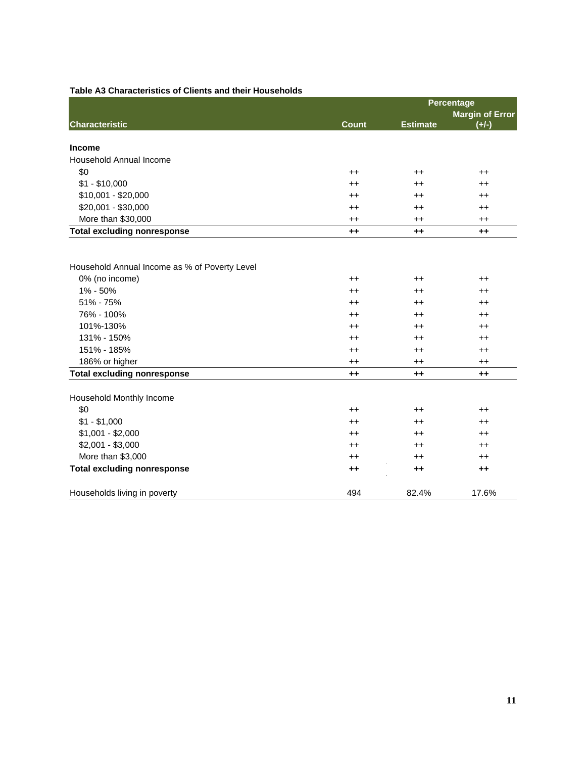| ו ווסווט מווע הוכוו                           |              | Percentage      |                        |
|-----------------------------------------------|--------------|-----------------|------------------------|
|                                               |              |                 | <b>Margin of Error</b> |
| <b>Characteristic</b>                         | <b>Count</b> | <b>Estimate</b> | $(+/-)$                |
| <b>Income</b>                                 |              |                 |                        |
| Household Annual Income                       |              |                 |                        |
| \$0                                           | $^{++}$      | $^{\mathrm{+}}$ | $^{\mathrm{+}}$        |
| $$1 - $10,000$                                | $^{++}$      | $^{\mathrm{+}}$ | $^{\mathrm{++}}$       |
| \$10,001 - \$20,000                           | $++$         | $^{++}$         | $++$                   |
| \$20,001 - \$30,000                           | $^{++}$      | $^{\mathrm{+}}$ | $^{\mathrm{++}}$       |
| More than \$30,000                            | $^{++}$      | $^{\mathrm{+}}$ | $^{++}$                |
| <b>Total excluding nonresponse</b>            | $++$         | $++$            | $++$                   |
| Household Annual Income as % of Poverty Level |              |                 |                        |
| 0% (no income)                                | $^{++}$      | $^{\mathrm{+}}$ | $^{\mathrm{++}}$       |
| 1% - 50%                                      | $++$         | $^{++}$         | $^{++}$                |
| 51% - 75%                                     | $++$         | $++$            | $++$                   |
| 76% - 100%                                    | $++$         | $^{\mathrm{+}}$ | $++$                   |
| 101%-130%                                     | $^{++}$      | $^{\mathrm{+}}$ | $++$                   |
| 131% - 150%                                   | $^{++}$      | $^{\mathrm{+}}$ | $^{++}$                |
| 151% - 185%                                   | $^{++}$      | $^{++}$         | $^{++}$                |
| 186% or higher                                | $^{++}$      | $^{++}$         | $^{++}$                |
| <b>Total excluding nonresponse</b>            | $++$         | $++$            | $++$                   |
| Household Monthly Income                      |              |                 |                        |
| \$0                                           | $^{++}$      | $^{\mathrm{+}}$ | $^{\mathrm{+}}$        |
| $$1 - $1,000$                                 | $^{++}$      | $^{++}$         | $^{++}$                |
| $$1,001 - $2,000$                             | $^{++}$      | $^{++}$         | $++$                   |
| $$2,001 - $3,000$                             | $^{++}$      | $^{++}$         | $++$                   |
| More than \$3,000                             | $++$         | $^{++}$         | $^{++}$                |
| <b>Total excluding nonresponse</b>            | $^{++}$      | $^{\tiny{++}}$  | $++$                   |
| Households living in poverty                  | 494          | 82.4%           | 17.6%                  |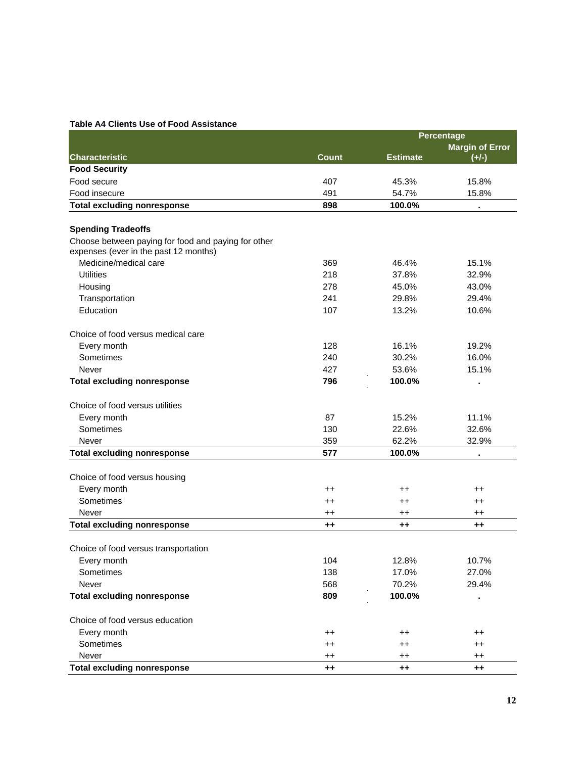#### **Table A4 Clients Use of Food Assistance**

|                                                                                              |                 | Percentage       |                        |  |
|----------------------------------------------------------------------------------------------|-----------------|------------------|------------------------|--|
|                                                                                              |                 |                  | <b>Margin of Error</b> |  |
| <b>Characteristic</b>                                                                        | <b>Count</b>    | <b>Estimate</b>  | $(+/-)$                |  |
| <b>Food Security</b>                                                                         |                 |                  |                        |  |
| Food secure                                                                                  | 407             | 45.3%            | 15.8%                  |  |
| Food insecure                                                                                | 491             | 54.7%            | 15.8%                  |  |
| <b>Total excluding nonresponse</b>                                                           | 898             | 100.0%           |                        |  |
|                                                                                              |                 |                  |                        |  |
| <b>Spending Tradeoffs</b>                                                                    |                 |                  |                        |  |
| Choose between paying for food and paying for other<br>expenses (ever in the past 12 months) |                 |                  |                        |  |
| Medicine/medical care                                                                        | 369             | 46.4%            | 15.1%                  |  |
| <b>Utilities</b>                                                                             | 218             | 37.8%            | 32.9%                  |  |
| Housing                                                                                      | 278             | 45.0%            | 43.0%                  |  |
| Transportation                                                                               | 241             | 29.8%            | 29.4%                  |  |
| Education                                                                                    | 107             | 13.2%            | 10.6%                  |  |
|                                                                                              |                 |                  |                        |  |
| Choice of food versus medical care                                                           |                 |                  |                        |  |
| Every month                                                                                  | 128             | 16.1%            | 19.2%                  |  |
| Sometimes                                                                                    | 240             | 30.2%            | 16.0%                  |  |
| Never                                                                                        | 427             | 53.6%            | 15.1%                  |  |
| <b>Total excluding nonresponse</b>                                                           | 796             | 100.0%           | $\blacksquare$         |  |
|                                                                                              |                 |                  |                        |  |
| Choice of food versus utilities                                                              |                 |                  |                        |  |
| Every month                                                                                  | 87              | 15.2%            | 11.1%                  |  |
| Sometimes                                                                                    | 130             | 22.6%            | 32.6%                  |  |
| Never                                                                                        | 359             | 62.2%            | 32.9%                  |  |
| <b>Total excluding nonresponse</b>                                                           | 577             | 100.0%           |                        |  |
|                                                                                              |                 |                  |                        |  |
| Choice of food versus housing                                                                |                 |                  |                        |  |
| Every month                                                                                  | $^{++}$         | $^{\mathrm{+}}$  | $^{++}$                |  |
| Sometimes                                                                                    | $^{\mathrm{+}}$ | $^{\mathrm{++}}$ | $^{\mathrm{+}}$        |  |
| Never                                                                                        | $^{\mathrm{+}}$ | $^{\mathrm{+}}$  | $^{\mathrm{+}}$        |  |
| <b>Total excluding nonresponse</b>                                                           | $^{\tiny{++}}$  | ++               | $^{\tiny{++}}$         |  |
|                                                                                              |                 |                  |                        |  |
| Choice of food versus transportation                                                         |                 |                  |                        |  |
| Every month                                                                                  | 104             | 12.8%            | 10.7%                  |  |
| Sometimes                                                                                    | 138             | 17.0%            | 27.0%                  |  |
| Never                                                                                        | 568             | 70.2%            | 29.4%                  |  |
| <b>Total excluding nonresponse</b>                                                           | 809             | 100.0%           |                        |  |
|                                                                                              |                 |                  |                        |  |
| Choice of food versus education                                                              |                 |                  |                        |  |
| Every month                                                                                  | $^{\mathrm{+}}$ | $^{\mathrm{+}}$  | $^{\mathrm{+}}$        |  |
| Sometimes                                                                                    | $^{\mathrm{+}}$ | $^{\mathrm{+}}$  | $^{\mathrm{+}}$        |  |
| Never                                                                                        | $^{\mathrm{+}}$ | $^{\mathrm{++}}$ | $^{\mathrm{+}}$        |  |
| <b>Total excluding nonresponse</b>                                                           | $^{++}$         | $^{\mathrm{+}}$  | $++$                   |  |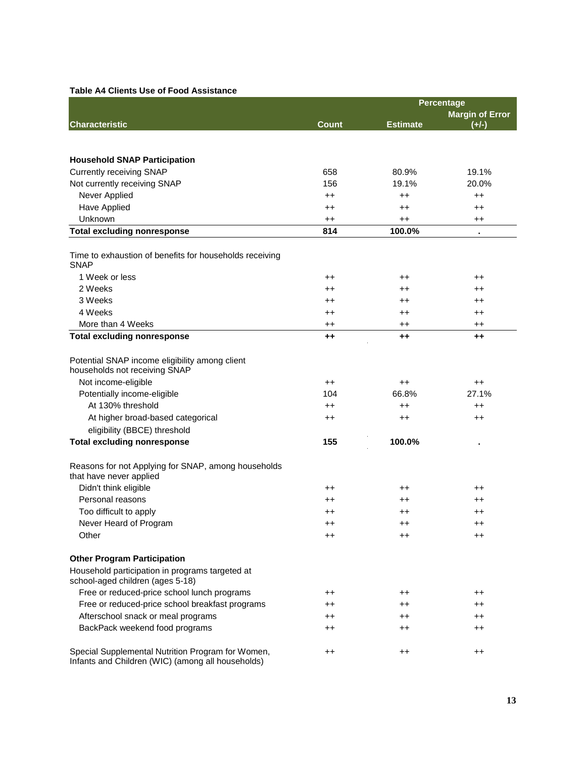## **Table A4 Clients Use of Food Assistance**

|                                                                                     | Percentage       |                 |                        |
|-------------------------------------------------------------------------------------|------------------|-----------------|------------------------|
|                                                                                     |                  |                 | <b>Margin of Error</b> |
| <b>Characteristic</b>                                                               | <b>Count</b>     | <b>Estimate</b> | $(+/-)$                |
|                                                                                     |                  |                 |                        |
|                                                                                     |                  |                 |                        |
| <b>Household SNAP Participation</b>                                                 |                  |                 |                        |
| <b>Currently receiving SNAP</b>                                                     | 658              | 80.9%           | 19.1%                  |
| Not currently receiving SNAP                                                        | 156              | 19.1%           | 20.0%                  |
| Never Applied                                                                       | $^{++}$          | $^{++}$         | $^{++}$                |
| <b>Have Applied</b>                                                                 | $^{\mathrm{+}}$  | $^{\mathrm{+}}$ | $^{\mathrm{+}}$        |
| Unknown                                                                             | $^{++}$          | $^{++}$         | $^{++}$                |
| <b>Total excluding nonresponse</b>                                                  | 814              | 100.0%          |                        |
| Time to exhaustion of benefits for households receiving<br><b>SNAP</b>              |                  |                 |                        |
| 1 Week or less                                                                      | $^{\mathrm{+}}$  | $^{\mathrm{+}}$ | ++                     |
| 2 Weeks                                                                             | $^{\mathrm{+}}$  | $^{\mathrm{+}}$ | $^{\mathrm{+}}$        |
| 3 Weeks                                                                             | $^{\mathrm{+}}$  | $^{\mathrm{+}}$ | $^{\mathrm{+}}$        |
| 4 Weeks                                                                             | $^{\mathrm{+}}$  | $^{\mathrm{+}}$ | $^{\mathrm{+}}$        |
| More than 4 Weeks                                                                   | $^{\mathrm{+}}$  | $^{\mathrm{+}}$ | $^{\mathrm{+}}$        |
| <b>Total excluding nonresponse</b>                                                  | ++               | $^{\tiny{++}}$  | $++$                   |
| Potential SNAP income eligibility among client<br>households not receiving SNAP     |                  |                 |                        |
| Not income-eligible                                                                 | $^{++}$          | $^{\mathrm{+}}$ | $^{\mathrm{+}}$        |
| Potentially income-eligible                                                         | 104              | 66.8%           | 27.1%                  |
| At 130% threshold                                                                   | $^{++}$          | $^{++}$         | $^{\mathrm{+}}$        |
| At higher broad-based categorical                                                   | $^{\mathrm{+}}$  | $^{\mathrm{+}}$ | $^{\mathrm{+}}$        |
| eligibility (BBCE) threshold                                                        |                  |                 |                        |
| <b>Total excluding nonresponse</b>                                                  | 155              | 100.0%          | ٠                      |
| Reasons for not Applying for SNAP, among households<br>that have never applied      |                  |                 |                        |
| Didn't think eligible                                                               | $^{\mathrm{+}}$  | $^{\mathrm{+}}$ | ++                     |
| Personal reasons                                                                    | ++               | $^{\mathrm{+}}$ | ++                     |
| Too difficult to apply                                                              | $^{\mathrm{+}}$  | $^{\mathrm{+}}$ | $^{\mathrm{+}}$        |
| Never Heard of Program                                                              | $++$             | $^{\mathrm{+}}$ | $^{\mathrm{+}}$        |
| Other                                                                               | $^{\mathrm{++}}$ | $^{\mathrm{+}}$ | ++                     |
| <b>Other Program Participation</b>                                                  |                  |                 |                        |
| Household participation in programs targeted at<br>school-aged children (ages 5-18) |                  |                 |                        |
| Free or reduced-price school lunch programs                                         | $^{\mathrm{+}}$  | $^{\mathrm{+}}$ | $^{\mathrm{+}}$        |
| Free or reduced-price school breakfast programs                                     | $^{\mathrm{+}}$  | $^{\mathrm{+}}$ | ++                     |
| Afterschool snack or meal programs                                                  | $^{\mathrm{+}}$  | $^{\mathrm{+}}$ | $^{\mathrm{+}}$        |
| BackPack weekend food programs                                                      | $^{\mathrm{+}}$  | $^{\mathrm{+}}$ | $^{\mathrm{+}}$        |
| Special Supplemental Nutrition Program for Women,                                   | $^{\mathrm{+}}$  | $^{\mathrm{+}}$ | $^{\mathrm{+}}$        |

Infants and Children (WIC) (among all households)